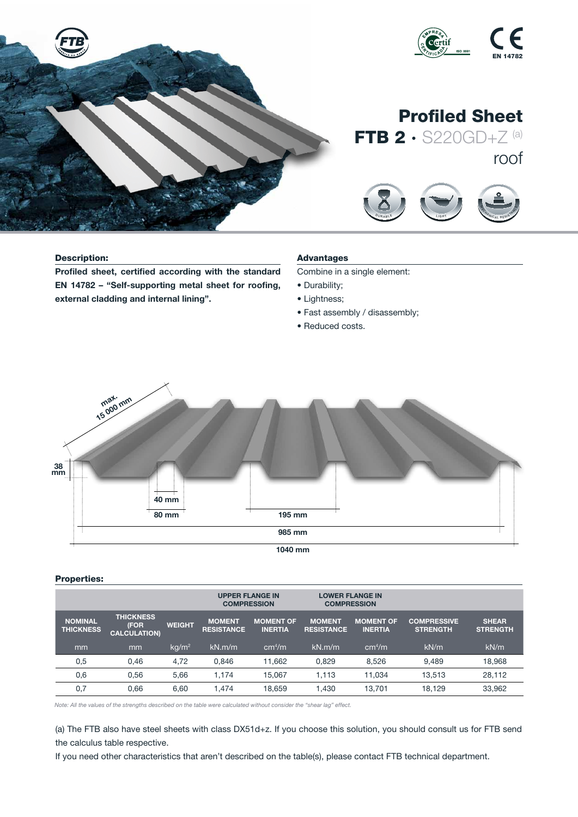

## Description:

Profiled sheet, certified according with the standard EN 14782 – "Self-supporting metal sheet for roofing, external cladding and internal lining".

# Advantages

Combine in a single element:

D <sup>U</sup> <sup>R</sup> <sup>A</sup> <sup>B</sup> <sup>L</sup> <sup>E</sup>

<sup>S</sup> <sup>O</sup> <sup>U</sup> <sup>N</sup> <sup>D</sup> <sup>I</sup> <sup>N</sup> <sup>S</sup> <sup>U</sup> <sup>L</sup> <sup>A</sup><sup>T</sup> <sup>I</sup> <sup>O</sup> <sup>N</sup>

 $\overline{\phantom{a}}$ 

- Durability;
- Lightness;
- Fast assembly / disassembly;
- Reduced costs.



## Properties:

|                                    |                                                 |               | <b>UPPER FLANGE IN</b><br><b>COMPRESSION</b> |                                    | <b>LOWER FLANGE IN</b><br><b>COMPRESSION</b> |                                    |                                       |                                 |
|------------------------------------|-------------------------------------------------|---------------|----------------------------------------------|------------------------------------|----------------------------------------------|------------------------------------|---------------------------------------|---------------------------------|
| <b>NOMINAL</b><br><b>THICKNESS</b> | <b>THICKNESS</b><br>(FOR<br><b>CALCULATION)</b> | <b>WEIGHT</b> | <b>MOMENT</b><br><b>RESISTANCE</b>           | <b>MOMENT OF</b><br><b>INERTIA</b> | <b>MOMENT</b><br><b>RESISTANCE</b>           | <b>MOMENT OF</b><br><b>INERTIA</b> | <b>COMPRESSIVE</b><br><b>STRENGTH</b> | <b>SHEAR</b><br><b>STRENGTH</b> |
| mm                                 | mm                                              | $kq/m^2$      | kN.m/m                                       | cm <sup>4</sup> /m                 | kN.m/m                                       | cm <sup>4</sup> /m                 | kN/m                                  | kN/m                            |
| 0,5                                | 0.46                                            | 4.72          | 0.846                                        | 11.662                             | 0.829                                        | 8.526                              | 9.489                                 | 18.968                          |
| 0,6                                | 0.56                                            | 5.66          | 1.174                                        | 15.067                             | 1.113                                        | 11.034                             | 13.513                                | 28,112                          |
| 0,7                                | 0.66                                            | 6,60          | 1.474                                        | 18,659                             | 1.430                                        | 13.701                             | 18,129                                | 33,962                          |

*Note: All the values of the strengths described on the table were calculated without consider the "shear lag" effect.*

(a) The FTB also have steel sheets with class DX51d+z. If you choose this solution, you should consult us for FTB send the calculus table respective.

If you need other characteristics that aren't described on the table(s), please contact FTB technical department.